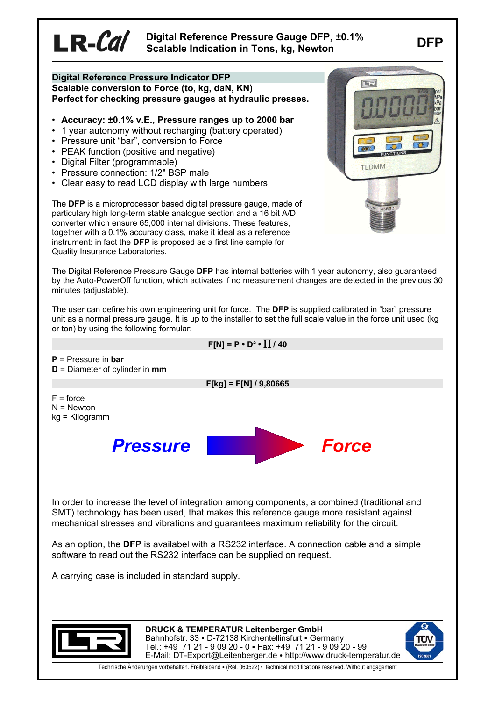# **Digital Reference Pressure Gauge DFP, ±0.1% Scalable Indication in Tons, kg, Newton**

### **Digital Reference Pressure Indicator DFP Scalable conversion to Force (to, kg, daN, KN) Perfect for checking pressure gauges at hydraulic presses.**

- **Accuracy: ±0.1% v.E., Pressure ranges up to 2000 bar**
- 1 year autonomy without recharging (battery operated)
- Pressure unit "bar", conversion to Force
- PEAK function (positive and negative)
- Digital Filter (programmable)

 $LR$ - $Cal$ 

- Pressure connection: 1/2" BSP male
- Clear easy to read LCD display with large numbers



The **DFP** is a microprocessor based digital pressure gauge, made of particulary high long-term stable analogue section and a 16 bit A/D converter which ensure 65,000 internal divisions. These features, together with a 0.1% accuracy class, make it ideal as a reference instrument: in fact the **DFP** is proposed as a first line sample for Quality Insurance Laboratories.

The Digital Reference Pressure Gauge **DFP** has internal batteries with 1 year autonomy, also guaranteed by the Auto-PowerOff function, which activates if no measurement changes are detected in the previous 30 minutes (adiustable).

The user can define his own engineering unit for force. The **DFP** is supplied calibrated in "bar" pressure unit as a normal pressure gauge. It is up to the installer to set the full scale value in the force unit used (kg or ton) by using the following formular:

 $F[N] = P \cdot D^2 \cdot \prod / 40$ **P** = Pressure in **bar D** = Diameter of cylinder in **mmF[kg] = F[N] / 9,80665** $F =$  force N = Newton kg = Kilogramm *Pressure Force* In order to increase the level of integration among components, a combined (traditional and SMT) technology has been used, that makes this reference gauge more resistant against mechanical stresses and vibrations and guarantees maximum reliability for the circuit. As an option, the **DFP** is availabel with a RS232 interface. A connection cable and a simple software to read out the RS232 interface can be supplied on request.

A carrying case is included in standard supply.



**DRUCK & TEMPERATUR Leitenberger GmbH** Bahnhofstr. 33 · D-72138 Kirchentellinsfurt · Germany Tel.: +49 71 21 - 9 09 20 - 0 • Fax: +49 71 21 - 9 09 20 - 99 E-Mail: DT-Export@Leitenberger.de • http://www.druck-temperatur.de



Technische Änderungen vorbehalten. Freibleibend • (Rel. 060522) • technical modifications reserved. Without engagement